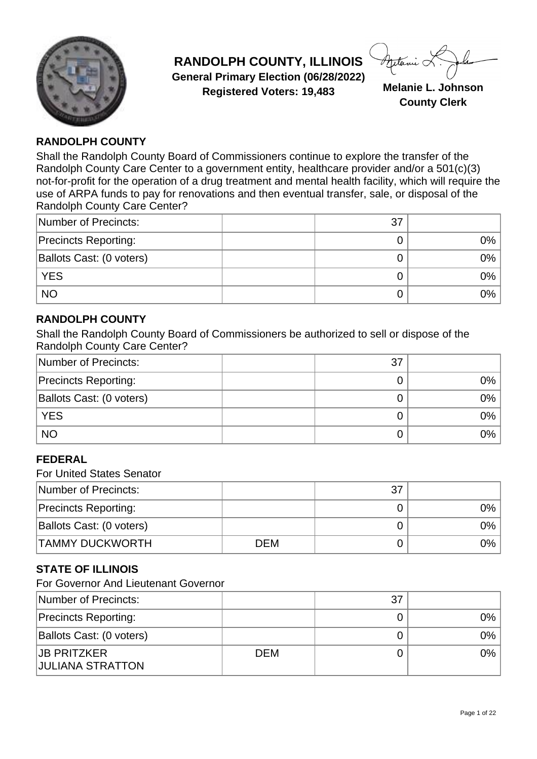

**RANDOLPH COUNTY, ILLINOIS General Primary Election (06/28/2022) Registered Voters: 19,483 Melanie L. Johnson**

**County Clerk**

### **RANDOLPH COUNTY**

Shall the Randolph County Board of Commissioners continue to explore the transfer of the Randolph County Care Center to a government entity, healthcare provider and/or a 501(c)(3) not-for-profit for the operation of a drug treatment and mental health facility, which will require the use of ARPA funds to pay for renovations and then eventual transfer, sale, or disposal of the Randolph County Care Center?

| Number of Precincts:        | 37 |       |
|-----------------------------|----|-------|
| <b>Precincts Reporting:</b> |    | 0%    |
| Ballots Cast: (0 voters)    |    | 0%    |
| <b>YES</b>                  |    | $0\%$ |
| <b>NO</b>                   |    | 0%    |

### **RANDOLPH COUNTY**

Shall the Randolph County Board of Commissioners be authorized to sell or dispose of the Randolph County Care Center?

| Number of Precincts:        | 37 |       |
|-----------------------------|----|-------|
| <b>Precincts Reporting:</b> |    | 0%    |
| Ballots Cast: (0 voters)    |    | $0\%$ |
| <b>YES</b>                  |    | 0%    |
| <b>NO</b>                   |    | $0\%$ |

### **FEDERAL**

For United States Senator

| Number of Precincts:        |            | 37 |       |
|-----------------------------|------------|----|-------|
| <b>Precincts Reporting:</b> |            |    | $0\%$ |
| Ballots Cast: (0 voters)    |            |    | $0\%$ |
| <b>TAMMY DUCKWORTH</b>      | <b>DEM</b> |    | 0%    |

# **STATE OF ILLINOIS**

For Governor And Lieutenant Governor

| Number of Precincts:                          |            | 37 |      |
|-----------------------------------------------|------------|----|------|
| <b>Precincts Reporting:</b>                   |            |    | 0% l |
| Ballots Cast: (0 voters)                      |            |    | 0% l |
| <b>JB PRITZKER</b><br><b>JULIANA STRATTON</b> | <b>DEM</b> |    | 0% l |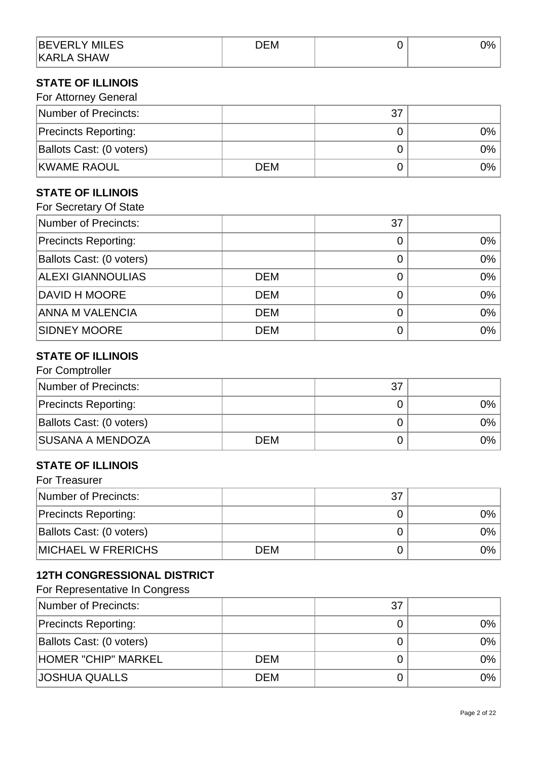| <b>BEVERLY MILES</b> | DEM | ∕סר<br>7٥. |
|----------------------|-----|------------|
| <b>KARLA SHAW</b>    |     |            |

### **STATE OF ILLINOIS**

| For Attorney General        |            |    |       |
|-----------------------------|------------|----|-------|
| Number of Precincts:        |            | 37 |       |
| <b>Precincts Reporting:</b> |            |    | 0%    |
| Ballots Cast: (0 voters)    |            |    | $0\%$ |
| <b>KWAME RAOUL</b>          | <b>DEM</b> |    | $0\%$ |

# **STATE OF ILLINOIS**

| For Secretary Of State      |            |    |    |
|-----------------------------|------------|----|----|
| Number of Precincts:        |            | 37 |    |
| <b>Precincts Reporting:</b> |            | 0  | 0% |
| Ballots Cast: (0 voters)    |            | 0  | 0% |
| <b>ALEXI GIANNOULIAS</b>    | <b>DEM</b> | 0  | 0% |
| <b>DAVID H MOORE</b>        | <b>DEM</b> | O  | 0% |
| <b>ANNA M VALENCIA</b>      | <b>DEM</b> | 0  | 0% |
| <b>SIDNEY MOORE</b>         | <b>DEM</b> |    | 0% |

# **STATE OF ILLINOIS**

| For Comptroller             |            |    |      |
|-----------------------------|------------|----|------|
| Number of Precincts:        |            | 37 |      |
| <b>Precincts Reporting:</b> |            |    | 0% l |
| Ballots Cast: (0 voters)    |            |    | 0%   |
| <b>SUSANA A MENDOZA</b>     | <b>DEM</b> |    | 0%   |

#### **STATE OF ILLINOIS**  $F = T \cdot T$

| For Treasurer               |            |    |    |
|-----------------------------|------------|----|----|
| Number of Precincts:        |            | 37 |    |
| <b>Precincts Reporting:</b> |            |    | 0% |
| Ballots Cast: (0 voters)    |            |    | 0% |
| <b>MICHAEL W FRERICHS</b>   | <b>DEM</b> |    | 0% |

# **12TH CONGRESSIONAL DISTRICT**

For Representative In Congress

| Number of Precincts:        |            | 37 |      |
|-----------------------------|------------|----|------|
| <b>Precincts Reporting:</b> |            |    | 0% l |
| Ballots Cast: (0 voters)    |            |    | 0% l |
| HOMER "CHIP" MARKEL         | <b>DEM</b> |    | 0% l |
| <b>JOSHUA QUALLS</b>        | <b>DEM</b> |    | 0%   |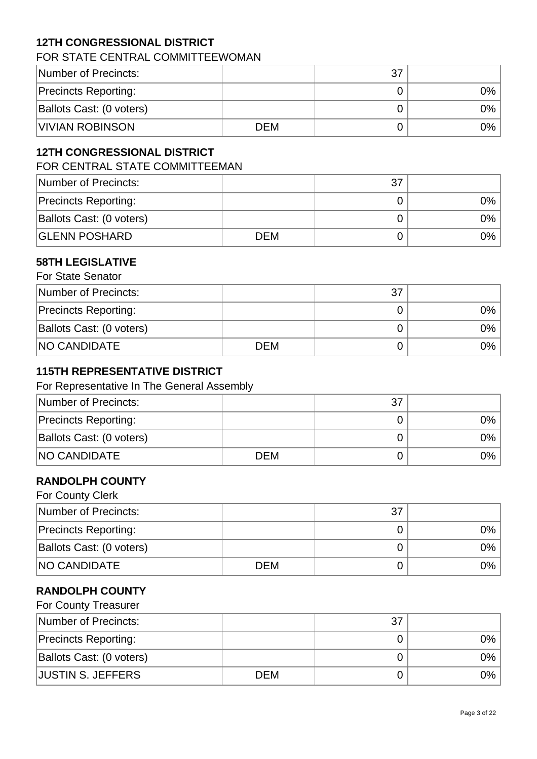# **12TH CONGRESSIONAL DISTRICT**

### FOR STATE CENTRAL COMMITTEEWOMAN

| Number of Precincts:        |     | 37 |      |
|-----------------------------|-----|----|------|
| <b>Precincts Reporting:</b> |     |    | 0% l |
| Ballots Cast: (0 voters)    |     |    | 0% l |
| <b>VIVIAN ROBINSON</b>      | DEM |    | 0%   |

### **12TH CONGRESSIONAL DISTRICT**

FOR CENTRAL STATE COMMITTEEMAN

| Number of Precincts:        |            | 37 |    |
|-----------------------------|------------|----|----|
| <b>Precincts Reporting:</b> |            |    | 0% |
| Ballots Cast: (0 voters)    |            |    | 0% |
| <b>GLENN POSHARD</b>        | <b>DEM</b> |    | 0% |

#### **58TH LEGISLATIVE**  $For$  Ctate  $\Omega$

| For State Senator           |            |    |      |
|-----------------------------|------------|----|------|
| Number of Precincts:        |            | 37 |      |
| <b>Precincts Reporting:</b> |            |    | 0% l |
| Ballots Cast: (0 voters)    |            |    | 0% l |
| <b>NO CANDIDATE</b>         | <b>DEM</b> |    | 0% l |

### **115TH REPRESENTATIVE DISTRICT**

#### For Representative In The General Assembly

| Number of Precincts:        |            | 37 |      |
|-----------------------------|------------|----|------|
| <b>Precincts Reporting:</b> |            |    | 0% l |
| Ballots Cast: (0 voters)    |            |    | 0% l |
| <b>NO CANDIDATE</b>         | <b>DEM</b> |    | 0% l |

### **RANDOLPH COUNTY**

| For County Clerk            |            |    |       |
|-----------------------------|------------|----|-------|
| Number of Precincts:        |            | 37 |       |
| <b>Precincts Reporting:</b> |            |    | 0%    |
| Ballots Cast: (0 voters)    |            |    | $0\%$ |
| <b>NO CANDIDATE</b>         | <b>DEM</b> |    | 0% l  |

### **RANDOLPH COUNTY**

| For County Treasurer        |     |    |    |
|-----------------------------|-----|----|----|
| Number of Precincts:        |     | 37 |    |
| <b>Precincts Reporting:</b> |     |    | 0% |
| Ballots Cast: (0 voters)    |     |    | 0% |
| <b>JUSTIN S. JEFFERS</b>    | DEM |    | 0% |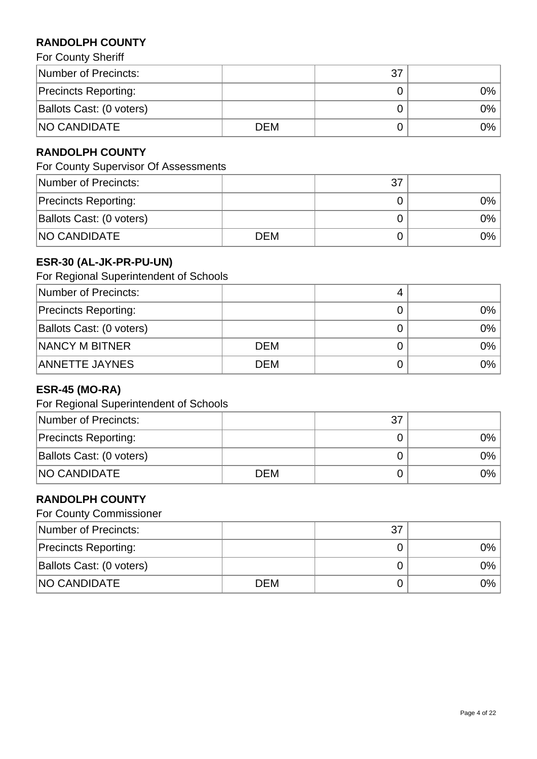# **RANDOLPH COUNTY**

For County Sheriff

| Number of Precincts:        |     | 37 |      |
|-----------------------------|-----|----|------|
| <b>Precincts Reporting:</b> |     |    | 0% l |
| Ballots Cast: (0 voters)    |     |    | 0% l |
| <b>NO CANDIDATE</b>         | DEM |    | 0% l |

# **RANDOLPH COUNTY**

For County Supervisor Of Assessments

| Number of Precincts:        |            | 37 |      |
|-----------------------------|------------|----|------|
| <b>Precincts Reporting:</b> |            |    | 0% l |
| Ballots Cast: (0 voters)    |            |    | 0% l |
| <b>NO CANDIDATE</b>         | <b>DEM</b> |    | 0% l |

# **ESR-30 (AL-JK-PR-PU-UN)**

For Regional Superintendent of Schools

| Number of Precincts:        |            |       |
|-----------------------------|------------|-------|
| <b>Precincts Reporting:</b> |            | 0%    |
| Ballots Cast: (0 voters)    |            | 0%    |
| NANCY M BITNER              | <b>DEM</b> | $0\%$ |
| <b>ANNETTE JAYNES</b>       | <b>DEM</b> | $0\%$ |

# **ESR-45 (MO-RA)**

For Regional Superintendent of Schools

| Number of Precincts:        |            | 37 |      |
|-----------------------------|------------|----|------|
| <b>Precincts Reporting:</b> |            |    | 0%   |
| Ballots Cast: (0 voters)    |            |    | 0% l |
| <b>NO CANDIDATE</b>         | <b>DEM</b> |    | 0%   |

# **RANDOLPH COUNTY**

|  | <b>For County Commissioner</b> |
|--|--------------------------------|
|--|--------------------------------|

| Number of Precincts:        |            | 37 |      |
|-----------------------------|------------|----|------|
| <b>Precincts Reporting:</b> |            |    | 0%   |
| Ballots Cast: (0 voters)    |            |    | 0% l |
| <b>NO CANDIDATE</b>         | <b>DEM</b> |    | 0% l |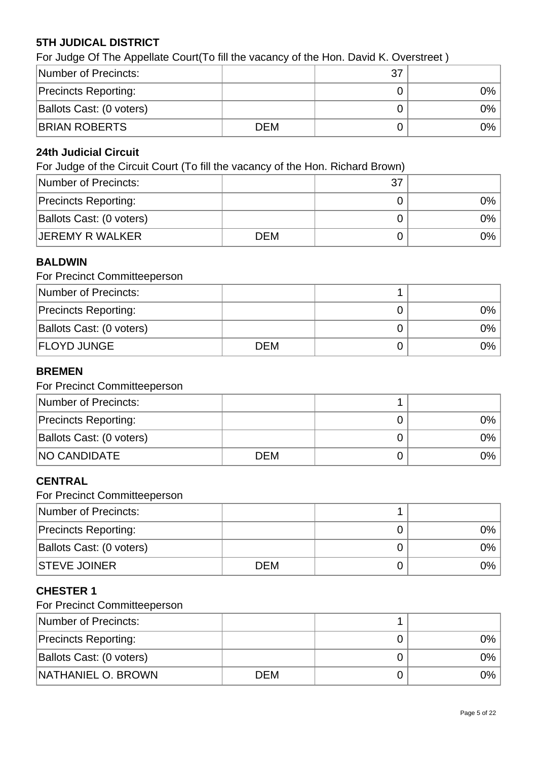# **5TH JUDICAL DISTRICT**

For Judge Of The Appellate Court(To fill the vacancy of the Hon. David K. Overstreet )

| Number of Precincts:        |            | 37 |      |
|-----------------------------|------------|----|------|
| <b>Precincts Reporting:</b> |            |    | 0% l |
| Ballots Cast: (0 voters)    |            |    | 0% l |
| <b>BRIAN ROBERTS</b>        | <b>DEM</b> |    | 0% l |

### **24th Judicial Circuit**

For Judge of the Circuit Court (To fill the vacancy of the Hon. Richard Brown)

| Number of Precincts:        |            | 37 |       |
|-----------------------------|------------|----|-------|
| <b>Precincts Reporting:</b> |            |    | 0%    |
| Ballots Cast: (0 voters)    |            |    | $0\%$ |
| <b>JEREMY R WALKER</b>      | <b>DEM</b> |    | 0%    |

### **BALDWIN**

|  | For Precinct Committeeperson |
|--|------------------------------|
|--|------------------------------|

| Number of Precincts:        |            |       |
|-----------------------------|------------|-------|
| <b>Precincts Reporting:</b> |            | $0\%$ |
| Ballots Cast: (0 voters)    |            | $0\%$ |
| <b>FLOYD JUNGE</b>          | <b>DEM</b> | 0%    |

# **BREMEN**

#### For Precinct Committeeperson

| Number of Precincts:        |            |      |
|-----------------------------|------------|------|
| <b>Precincts Reporting:</b> |            | 0% l |
| Ballots Cast: (0 voters)    |            | 0% l |
| <b>NO CANDIDATE</b>         | <b>DEM</b> | 0%   |

### **CENTRAL**

For Precinct Committeeperson

| Number of Precincts:        |            |      |
|-----------------------------|------------|------|
| <b>Precincts Reporting:</b> |            | 0% l |
| Ballots Cast: (0 voters)    |            | 0% l |
| <b>STEVE JOINER</b>         | <b>DEM</b> | 0% l |

### **CHESTER 1**

| Number of Precincts:        |     |    |
|-----------------------------|-----|----|
| <b>Precincts Reporting:</b> |     | 0% |
| Ballots Cast: (0 voters)    |     | 0% |
| <b>NATHANIEL O. BROWN</b>   | DEM | 0% |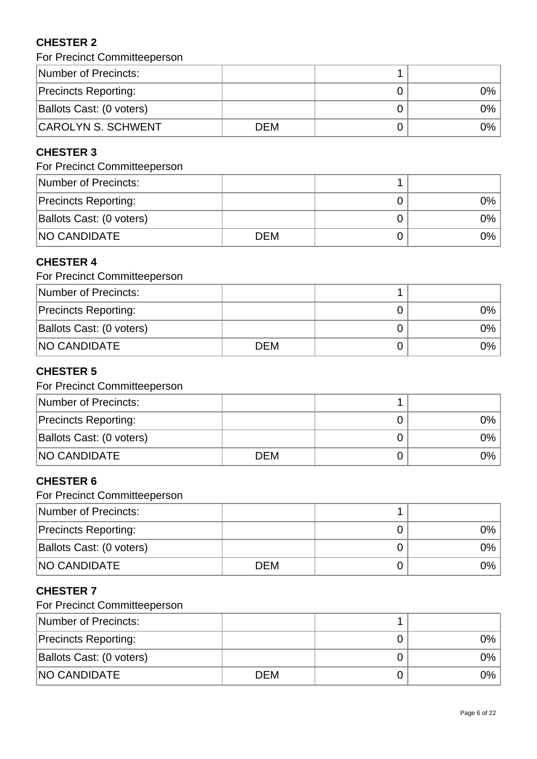# **CHESTER 2**

| For Precinct Committeeperson |
|------------------------------|
|------------------------------|

| Number of Precincts:        |            |    |
|-----------------------------|------------|----|
| <b>Precincts Reporting:</b> |            | 9% |
| Ballots Cast: (0 voters)    |            | 9% |
| <b>CAROLYN S. SCHWENT</b>   | <b>DEM</b> | 9% |

### **CHESTER 3**

# For Precinct Committeeperson

| Number of Precincts:        |            |      |
|-----------------------------|------------|------|
| <b>Precincts Reporting:</b> |            | 0%   |
| Ballots Cast: (0 voters)    |            | 0% l |
| <b>NO CANDIDATE</b>         | <b>DEM</b> | 0%   |

### **CHESTER 4**

| For Precinct Committeeperson |      |       |
|------------------------------|------|-------|
| Number of Precincts:         |      |       |
| <b>Precincts Reporting:</b>  |      | $0\%$ |
| Ballots Cast: (0 voters)     |      | 0%    |
| <b>NO CANDIDATE</b>          | DFM. | $0\%$ |

# **CHESTER 5**

# For Precinct Committeeperson

| Number of Precincts:        |            |      |
|-----------------------------|------------|------|
| <b>Precincts Reporting:</b> |            | 0% l |
| Ballots Cast: (0 voters)    |            | 0% l |
| <b>NO CANDIDATE</b>         | <b>DEM</b> | 0% l |

### **CHESTER 6**

For Precinct Committeeperson

| Number of Precincts:        |            |            |
|-----------------------------|------------|------------|
| <b>Precincts Reporting:</b> |            | $0\%$      |
| Ballots Cast: (0 voters)    |            | 9%         |
| <b>NO CANDIDATE</b>         | <b>DEM</b> | $\gamma\%$ |

# **CHESTER 7**

| Number of Precincts:        |     |      |
|-----------------------------|-----|------|
| <b>Precincts Reporting:</b> |     | 0% l |
| Ballots Cast: (0 voters)    |     | 0%   |
| <b>NO CANDIDATE</b>         | DEM | 0%   |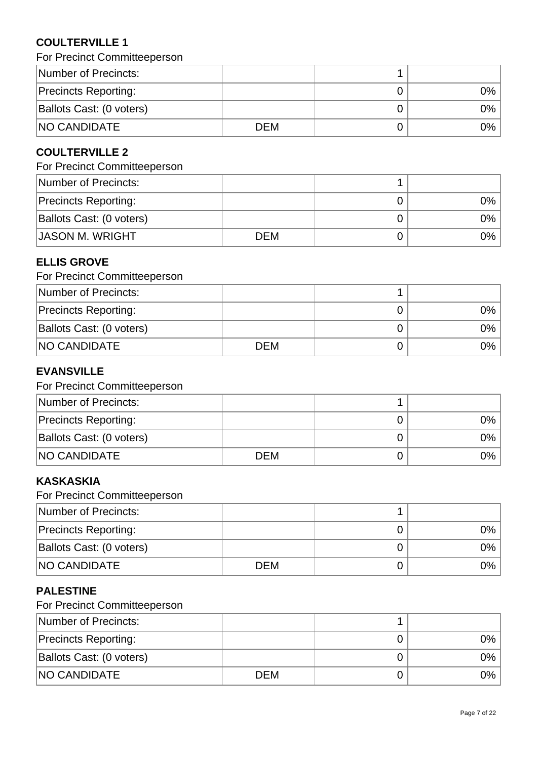# **COULTERVILLE 1**

For Precinct Committeeperson

| Number of Precincts:        |            |      |
|-----------------------------|------------|------|
| <b>Precincts Reporting:</b> |            | 0% l |
| Ballots Cast: (0 voters)    |            | 0% l |
| <b>NO CANDIDATE</b>         | <b>DEM</b> | 0% l |

# **COULTERVILLE 2**

# For Precinct Committeeperson

| Number of Precincts:        |     |      |
|-----------------------------|-----|------|
| <b>Precincts Reporting:</b> |     | 0%   |
| Ballots Cast: (0 voters)    |     | 0% l |
| JASON M. WRIGHT             | DEM | 0% l |

### **ELLIS GROVE**

| For Precinct Committeeperson |  |
|------------------------------|--|
| Number of Drapinston         |  |

| Number of Precincts:        |            |       |
|-----------------------------|------------|-------|
| <b>Precincts Reporting:</b> |            | 9%    |
| Ballots Cast: (0 voters)    |            | $9\%$ |
| <b>NO CANDIDATE</b>         | <b>DEM</b> | 9%    |

# **EVANSVILLE**

### For Precinct Committeeperson

| Number of Precincts:        |            |      |
|-----------------------------|------------|------|
| <b>Precincts Reporting:</b> |            | 0% l |
| Ballots Cast: (0 voters)    |            | 0% l |
| <b>NO CANDIDATE</b>         | <b>DEM</b> | 0% l |

# **KASKASKIA**

For Precinct Committeeperson

| Number of Precincts:        |            |      |
|-----------------------------|------------|------|
| <b>Precincts Reporting:</b> |            | 0%   |
| Ballots Cast: (0 voters)    |            | 0% l |
| <b>NO CANDIDATE</b>         | <b>DEM</b> | 0%   |

# **PALESTINE**

| Number of Precincts:        |     |      |
|-----------------------------|-----|------|
| <b>Precincts Reporting:</b> |     | 0% l |
| Ballots Cast: (0 voters)    |     | 0%   |
| <b>NO CANDIDATE</b>         | DEM | 0%   |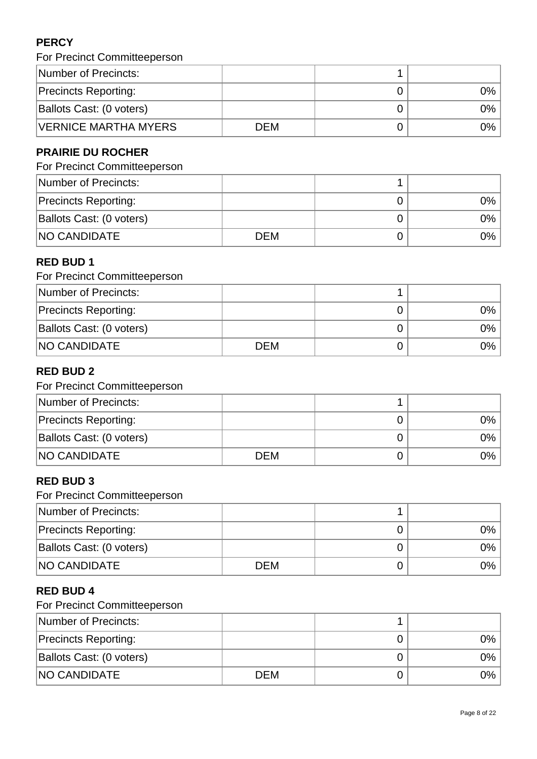# **PERCY**

| For Precinct Committeeperson |  |  |
|------------------------------|--|--|
|------------------------------|--|--|

| Number of Precincts:        |     |            |
|-----------------------------|-----|------------|
| <b>Precincts Reporting:</b> |     | $2\%$      |
| Ballots Cast: (0 voters)    |     | $\gamma\%$ |
| <b>VERNICE MARTHA MYERS</b> | DEM | ገ%         |

# **PRAIRIE DU ROCHER**

# For Precinct Committeeperson

| Number of Precincts:        |            |      |
|-----------------------------|------------|------|
| <b>Precincts Reporting:</b> |            | 0% l |
| Ballots Cast: (0 voters)    |            | 0% l |
| <b>NO CANDIDATE</b>         | <b>DEM</b> | 0% l |

### **RED BUD 1**

| For Precinct Committeeperson |            |  |       |
|------------------------------|------------|--|-------|
| Number of Precincts:         |            |  |       |
| <b>Precincts Reporting:</b>  |            |  | $0\%$ |
| Ballots Cast: (0 voters)     |            |  | ገ%    |
| <b>NO CANDIDATE</b>          | <b>DEM</b> |  | ገ%    |

# **RED BUD 2**

# For Precinct Committeeperson

| Number of Precincts:        |            |      |
|-----------------------------|------------|------|
| <b>Precincts Reporting:</b> |            | 0% l |
| Ballots Cast: (0 voters)    |            | 0% l |
| <b>NO CANDIDATE</b>         | <b>DEM</b> | 0% l |

### **RED BUD 3**

For Precinct Committeeperson

| Number of Precincts:        |            |      |
|-----------------------------|------------|------|
| <b>Precincts Reporting:</b> |            | 0% l |
| Ballots Cast: (0 voters)    |            | 0% l |
| <b>NO CANDIDATE</b>         | <b>DEM</b> | 0% l |

### **RED BUD 4**

| Number of Precincts:        |     |      |
|-----------------------------|-----|------|
| <b>Precincts Reporting:</b> |     | 0% l |
| Ballots Cast: (0 voters)    |     | 0%   |
| <b>NO CANDIDATE</b>         | DEM | 0%   |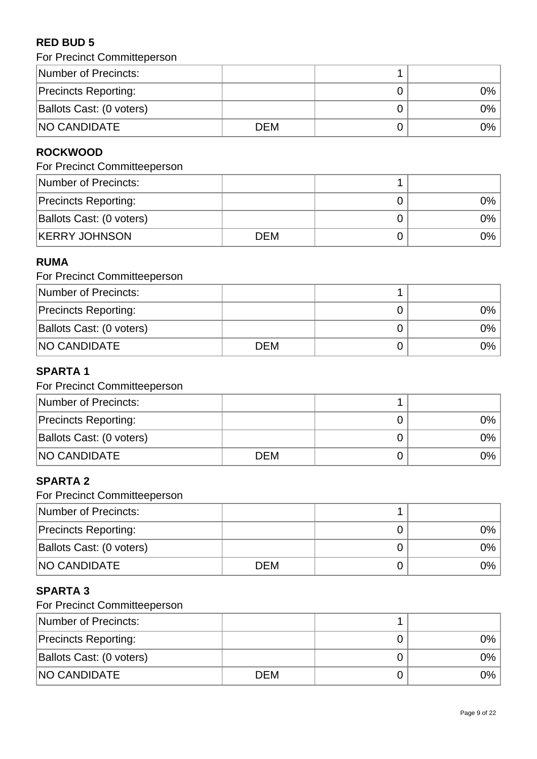# **RED BUD 5**

| Number of Precincts:        |            |       |
|-----------------------------|------------|-------|
| <b>Precincts Reporting:</b> |            | 0%    |
| Ballots Cast: (0 voters)    |            | 0%    |
| <b>NO CANDIDATE</b>         | <b>DEM</b> | $0\%$ |

# **ROCKWOOD**

# For Precinct Committeeperson

| Number of Precincts:        |            |      |
|-----------------------------|------------|------|
| <b>Precincts Reporting:</b> |            | 0% l |
| Ballots Cast: (0 voters)    |            | 0% l |
| <b>KERRY JOHNSON</b>        | <b>DEM</b> | 0% l |

### **RUMA**

| For Precinct Committeeperson |      |  |      |
|------------------------------|------|--|------|
| Number of Precincts:         |      |  |      |
| <b>Precincts Reporting:</b>  |      |  | 0% l |
| Ballots Cast: (0 voters)     |      |  | 0% l |
| <b>NO CANDIDATE</b>          | DFM. |  | 0% l |

# **SPARTA 1**

# For Precinct Committeeperson

| Number of Precincts:        |            |      |
|-----------------------------|------------|------|
| <b>Precincts Reporting:</b> |            | 0% l |
| Ballots Cast: (0 voters)    |            | 0% l |
| <b>NO CANDIDATE</b>         | <b>DEM</b> | 0% l |

### **SPARTA 2**

For Precinct Committeeperson

| Number of Precincts:        |            |      |
|-----------------------------|------------|------|
| <b>Precincts Reporting:</b> |            | 0% l |
| Ballots Cast: (0 voters)    |            | 0% l |
| <b>NO CANDIDATE</b>         | <b>DEM</b> | 0% l |

# **SPARTA 3**

| Number of Precincts:        |            |    |
|-----------------------------|------------|----|
| <b>Precincts Reporting:</b> |            | 0% |
| Ballots Cast: (0 voters)    |            | 0% |
| <b>NO CANDIDATE</b>         | <b>DEM</b> | 0% |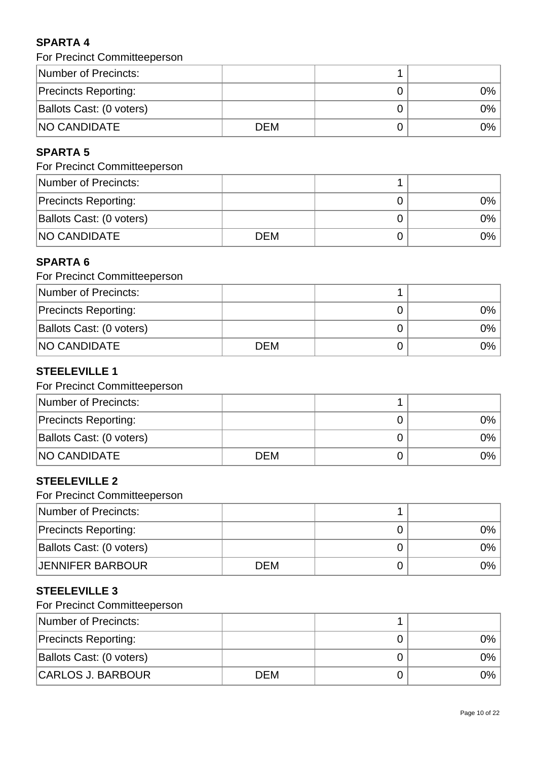# **SPARTA 4**

| For Precinct Committeeperson |  |  |
|------------------------------|--|--|
|------------------------------|--|--|

| Number of Precincts:        |            |       |
|-----------------------------|------------|-------|
| <b>Precincts Reporting:</b> |            | $0\%$ |
| Ballots Cast: (0 voters)    |            | 0%    |
| <b>NO CANDIDATE</b>         | <b>DEM</b> | 0%    |

# **SPARTA 5**

# For Precinct Committeeperson

| Number of Precincts:        |            |      |
|-----------------------------|------------|------|
| <b>Precincts Reporting:</b> |            | 0%   |
| Ballots Cast: (0 voters)    |            | 0% l |
| <b>NO CANDIDATE</b>         | <b>DEM</b> | 0%   |

# **SPARTA 6**

| For Precinct Committeeperson |      |  |    |
|------------------------------|------|--|----|
| Number of Precincts:         |      |  |    |
| <b>Precincts Reporting:</b>  |      |  | 0% |
| Ballots Cast: (0 voters)     |      |  | 0% |
| <b>NO CANDIDATE</b>          | DFM. |  | ገ% |

# **STEELEVILLE 1**

### For Precinct Committeeperson

| Number of Precincts:        |            |       |
|-----------------------------|------------|-------|
| <b>Precincts Reporting:</b> |            | $0\%$ |
| Ballots Cast: (0 voters)    |            | $0\%$ |
| <b>NO CANDIDATE</b>         | <b>DEM</b> | 9%    |

### **STEELEVILLE 2**

For Precinct Committeeperson

| Number of Precincts:        |            |      |
|-----------------------------|------------|------|
| <b>Precincts Reporting:</b> |            | 0% l |
| Ballots Cast: (0 voters)    |            | 0% l |
| <b>JENNIFER BARBOUR</b>     | <b>DEM</b> | 0% l |

# **STEELEVILLE 3**

| Number of Precincts:        |     |    |
|-----------------------------|-----|----|
| <b>Precincts Reporting:</b> |     | 9% |
| Ballots Cast: (0 voters)    |     | 9% |
| CARLOS J. BARBOUR           | DEM | 9% |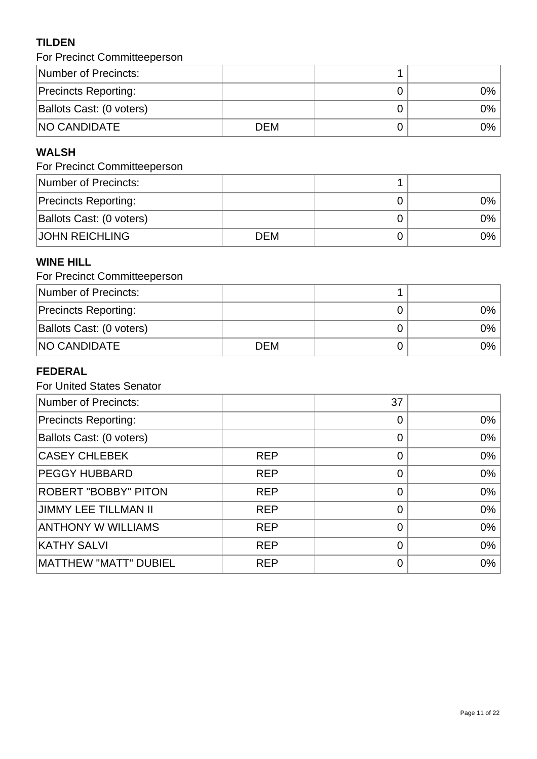# **TILDEN**

| For Precinct Committeeperson |            |  |      |
|------------------------------|------------|--|------|
| Number of Precincts:         |            |  |      |
| <b>Precincts Reporting:</b>  |            |  | 0% l |
| Ballots Cast: (0 voters)     |            |  | 0% l |
| <b>NO CANDIDATE</b>          | <b>DEM</b> |  | 0% l |

# **WALSH**

# For Precinct Committeeperson

| Number of Precincts:        |            |      |
|-----------------------------|------------|------|
| <b>Precincts Reporting:</b> |            | 0% l |
| Ballots Cast: (0 voters)    |            | 0% l |
| <b>JOHN REICHLING</b>       | <b>DEM</b> | 0% l |

### **WINE HILL**

| For Precinct Committeeperson |            |  |       |
|------------------------------|------------|--|-------|
| Number of Precincts:         |            |  |       |
| <b>Precincts Reporting:</b>  |            |  | 0%    |
| Ballots Cast: (0 voters)     |            |  | $0\%$ |
| <b>INO CANDIDATE</b>         | <b>DEM</b> |  | $0\%$ |

# **FEDERAL**

| <b>For United States Senator</b> |            |                |       |
|----------------------------------|------------|----------------|-------|
| Number of Precincts:             |            | 37             |       |
| <b>Precincts Reporting:</b>      |            | $\overline{0}$ | $0\%$ |
| Ballots Cast: (0 voters)         |            | $\overline{0}$ | 0%    |
| <b>CASEY CHLEBEK</b>             | <b>REP</b> | 0              | 0%    |
| <b>PEGGY HUBBARD</b>             | <b>REP</b> | $\overline{0}$ | 0%    |
| <b>ROBERT "BOBBY" PITON</b>      | <b>REP</b> | $\overline{0}$ | 0%    |
| <b>JIMMY LEE TILLMAN II</b>      | <b>REP</b> | $\overline{0}$ | 0%    |
| <b>ANTHONY W WILLIAMS</b>        | <b>REP</b> | $\overline{0}$ | 0%    |
| <b>KATHY SALVI</b>               | <b>REP</b> | $\overline{0}$ | 0%    |
| <b>MATTHEW "MATT" DUBIEL</b>     | <b>REP</b> | $\mathbf 0$    | 0%    |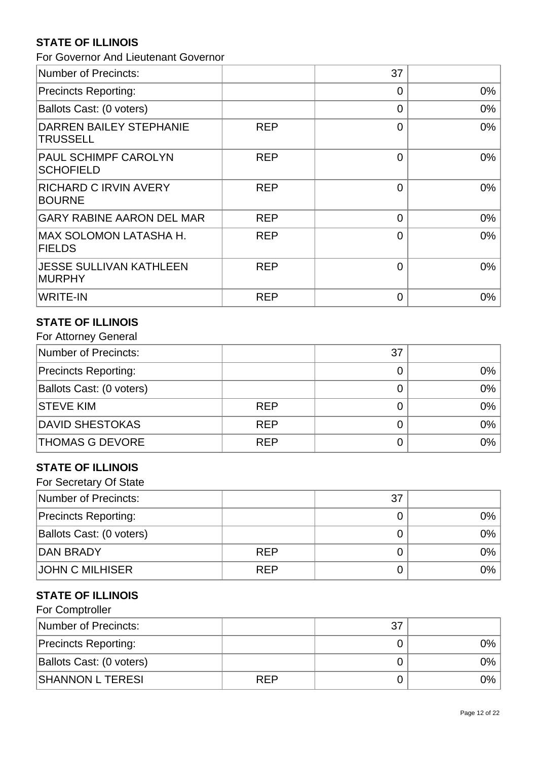# **STATE OF ILLINOIS**

For Governor And Lieutenant Governor

| Number of Precincts:                              |            | 37             |       |
|---------------------------------------------------|------------|----------------|-------|
| Precincts Reporting:                              |            | $\Omega$       | $0\%$ |
| Ballots Cast: (0 voters)                          |            | $\overline{0}$ | $0\%$ |
| <b>DARREN BAILEY STEPHANIE</b><br><b>TRUSSELL</b> | <b>REP</b> | $\overline{0}$ | 0%    |
| <b>PAUL SCHIMPF CAROLYN</b><br><b>SCHOFIELD</b>   | <b>REP</b> | $\overline{0}$ | 0%    |
| <b>RICHARD C IRVIN AVERY</b><br><b>BOURNE</b>     | <b>REP</b> | $\overline{0}$ | 0%    |
| <b>GARY RABINE AARON DEL MAR</b>                  | <b>REP</b> | $\overline{0}$ | 0%    |
| MAX SOLOMON LATASHA H.<br><b>FIELDS</b>           | <b>REP</b> | $\overline{0}$ | 0%    |
| <b>JESSE SULLIVAN KATHLEEN</b><br><b>MURPHY</b>   | <b>REP</b> | $\overline{0}$ | 0%    |
| WRITE-IN                                          | <b>REP</b> | $\overline{0}$ | 0%    |

#### **STATE OF ILLINOIS**  $F_{\alpha}$  Attorney  $G$

| For Attorney General        |            |    |       |
|-----------------------------|------------|----|-------|
| Number of Precincts:        |            | 37 |       |
| <b>Precincts Reporting:</b> |            |    | $0\%$ |
| Ballots Cast: (0 voters)    |            |    | 0%    |
| <b>STEVE KIM</b>            | <b>REP</b> |    | 0%    |
| <b>DAVID SHESTOKAS</b>      | <b>REP</b> |    | 0%    |
| <b>THOMAS G DEVORE</b>      | <b>REP</b> |    | 0%    |

# **STATE OF ILLINOIS**

| For Secretary Of State      |            |    |       |
|-----------------------------|------------|----|-------|
| Number of Precincts:        |            | 37 |       |
| <b>Precincts Reporting:</b> |            |    | $0\%$ |
| Ballots Cast: (0 voters)    |            |    | $0\%$ |
| <b>DAN BRADY</b>            | <b>REP</b> |    | $0\%$ |
| <b>JOHN C MILHISER</b>      | <b>REP</b> |    | $0\%$ |

### **STATE OF ILLINOIS**

| For Comptroller             |            |    |       |
|-----------------------------|------------|----|-------|
| Number of Precincts:        |            | 37 |       |
| <b>Precincts Reporting:</b> |            |    | 0%    |
| Ballots Cast: (0 voters)    |            |    | $0\%$ |
| <b>SHANNON L TERESI</b>     | <b>REP</b> |    | 0%    |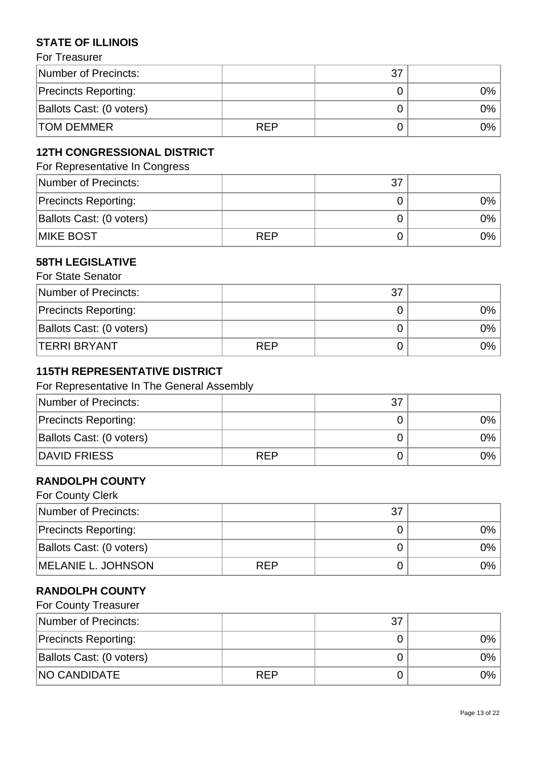# **STATE OF ILLINOIS**

| For Treasurer |  |
|---------------|--|
|               |  |

| Number of Precincts:        |     | 37 |       |
|-----------------------------|-----|----|-------|
| <b>Precincts Reporting:</b> |     |    | $0\%$ |
| Ballots Cast: (0 voters)    |     |    | 9%    |
| <b>TOM DEMMER</b>           | RFP |    | 9%    |

# **12TH CONGRESSIONAL DISTRICT**

For Representative In Congress

| Number of Precincts:        |            | 37 |    |
|-----------------------------|------------|----|----|
| <b>Precincts Reporting:</b> |            |    | 0% |
| Ballots Cast: (0 voters)    |            |    | 0% |
| <b>IMIKE BOST</b>           | <b>RFP</b> |    | 0% |

#### **58TH LEGISLATIVE**  $For$  C<sub>tate</sub>  $S<sub>z</sub>$

| For State Senator           |            |    |    |
|-----------------------------|------------|----|----|
| Number of Precincts:        |            | 37 |    |
| <b>Precincts Reporting:</b> |            |    | ገ% |
| Ballots Cast: (0 voters)    |            |    | 9% |
| <b>TERRI BRYANT</b>         | <b>REP</b> |    | 2% |

### **115TH REPRESENTATIVE DISTRICT**

#### For Representative In The General Assembly

| Number of Precincts:        |            | 37 |      |
|-----------------------------|------------|----|------|
| <b>Precincts Reporting:</b> |            |    | 0% l |
| Ballots Cast: (0 voters)    |            |    | 0% l |
| DAVID FRIESS                | <b>REP</b> |    | 0% l |

### **RANDOLPH COUNTY**

| For County Clerk            |            |    |       |
|-----------------------------|------------|----|-------|
| Number of Precincts:        |            | 37 |       |
| <b>Precincts Reporting:</b> |            |    | 0%    |
| Ballots Cast: (0 voters)    |            |    | $0\%$ |
| MELANIE L. JOHNSON          | <b>RFP</b> |    | $0\%$ |

### **RANDOLPH COUNTY**

| <b>For County Treasurer</b> |            |    |       |
|-----------------------------|------------|----|-------|
| Number of Precincts:        |            | 37 |       |
| <b>Precincts Reporting:</b> |            |    | $0\%$ |
| Ballots Cast: (0 voters)    |            |    | $0\%$ |
| <b>NO CANDIDATE</b>         | <b>REP</b> |    | 0% l  |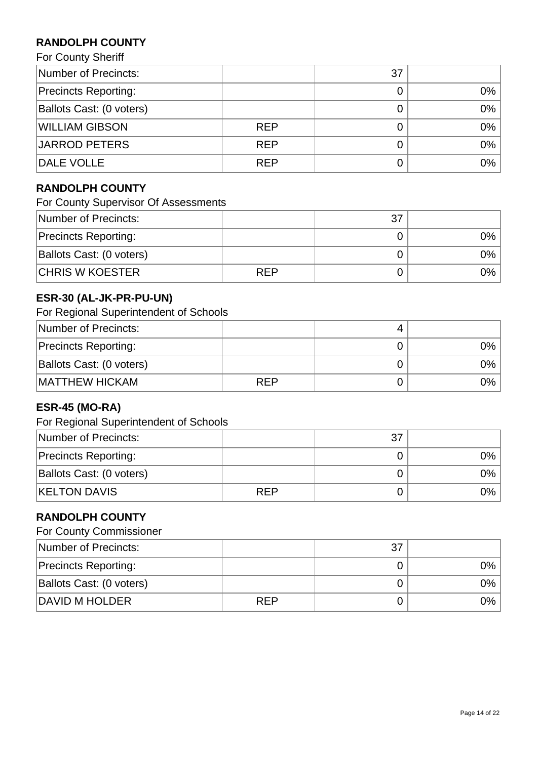# **RANDOLPH COUNTY**

For County Sheriff

| Number of Precincts:        |            | 37 |       |
|-----------------------------|------------|----|-------|
| <b>Precincts Reporting:</b> |            |    | $0\%$ |
| Ballots Cast: (0 voters)    |            |    | $0\%$ |
| <b>WILLIAM GIBSON</b>       | <b>REP</b> |    | $0\%$ |
| JARROD PETERS               | <b>REP</b> |    | 0%    |
| DALE VOLLE                  | <b>REP</b> |    | $0\%$ |

# **RANDOLPH COUNTY**

For County Supervisor Of Assessments

| Number of Precincts:        |            | 37 |       |
|-----------------------------|------------|----|-------|
| <b>Precincts Reporting:</b> |            |    | 0%    |
| Ballots Cast: (0 voters)    |            |    | $0\%$ |
| <b>CHRIS W KOESTER</b>      | <b>REP</b> |    | $0\%$ |

# **ESR-30 (AL-JK-PR-PU-UN)**

For Regional Superintendent of Schools

| Number of Precincts:        |            |    |
|-----------------------------|------------|----|
| <b>Precincts Reporting:</b> |            | 9% |
| Ballots Cast: (0 voters)    |            | 9% |
| <b>MATTHEW HICKAM</b>       | <b>REP</b> | ገ% |

# **ESR-45 (MO-RA)**

For Regional Superintendent of Schools

| Number of Precincts:        |            | 37 |       |
|-----------------------------|------------|----|-------|
| <b>Precincts Reporting:</b> |            |    | $0\%$ |
| Ballots Cast: (0 voters)    |            |    | 0%    |
| <b>KELTON DAVIS</b>         | <b>REP</b> |    | $0\%$ |

## **RANDOLPH COUNTY**

|  | <b>For County Commissioner</b> |
|--|--------------------------------|
|--|--------------------------------|

| Number of Precincts:        |            | 37 |              |
|-----------------------------|------------|----|--------------|
| <b>Precincts Reporting:</b> |            |    | 9%           |
| Ballots Cast: (0 voters)    |            |    | $\gamma\%$ . |
| DAVID M HOLDER              | <b>REP</b> |    | 9%           |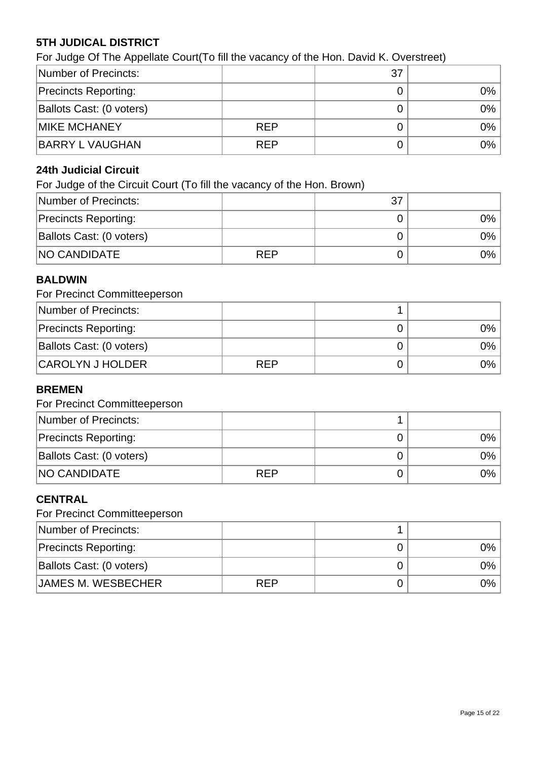# **5TH JUDICAL DISTRICT**

For Judge Of The Appellate Court(To fill the vacancy of the Hon. David K. Overstreet)

| Number of Precincts:        |            | 37 |       |
|-----------------------------|------------|----|-------|
| <b>Precincts Reporting:</b> |            |    | 0%    |
| Ballots Cast: (0 voters)    |            |    | $0\%$ |
| <b>MIKE MCHANEY</b>         | <b>REP</b> |    | $0\%$ |
| <b>BARRY L VAUGHAN</b>      | <b>REP</b> |    | 0%    |

### **24th Judicial Circuit**

For Judge of the Circuit Court (To fill the vacancy of the Hon. Brown)

| Number of Precincts:        |            | 37 |    |
|-----------------------------|------------|----|----|
| <b>Precincts Reporting:</b> |            |    | 0% |
| Ballots Cast: (0 voters)    |            |    | 0% |
| <b>NO CANDIDATE</b>         | <b>RFP</b> |    | 0% |

### **BALDWIN**

### For Precinct Committeeperson

| Number of Precincts:        |            |      |
|-----------------------------|------------|------|
| <b>Precincts Reporting:</b> |            | 0% l |
| Ballots Cast: (0 voters)    |            | 0% l |
| <b>CAROLYN J HOLDER</b>     | <b>RFP</b> | 0% l |

### **BREMEN**

### For Precinct Committeeperson

| Number of Precincts:        |            |      |
|-----------------------------|------------|------|
| <b>Precincts Reporting:</b> |            | 0%   |
| Ballots Cast: (0 voters)    |            | 0% l |
| <b>NO CANDIDATE</b>         | <b>REP</b> | 0% l |

### **CENTRAL**

| Number of Precincts:        |            |      |
|-----------------------------|------------|------|
| <b>Precincts Reporting:</b> |            | 0% l |
| Ballots Cast: (0 voters)    |            | 0% l |
| JAMES M. WESBECHER          | <b>RFP</b> | 0% l |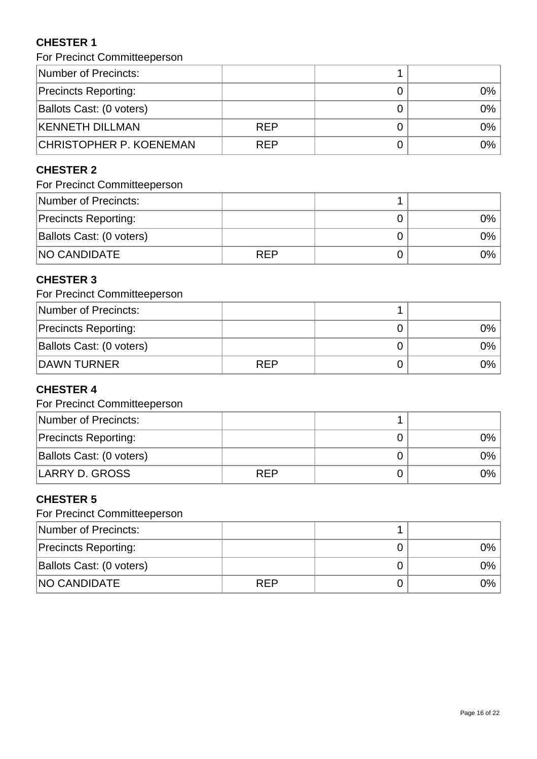# **CHESTER 1**

For Precinct Committeeperson

| Number of Precincts:        |            |      |
|-----------------------------|------------|------|
| <b>Precincts Reporting:</b> |            | 0% l |
| Ballots Cast: (0 voters)    |            | 0% l |
| <b>KENNETH DILLMAN</b>      | <b>REP</b> | 0%   |
| CHRISTOPHER P. KOENEMAN     | <b>REP</b> | 0% l |

# **CHESTER 2**

# For Precinct Committeeperson

| Number of Precincts:        |            |      |
|-----------------------------|------------|------|
| <b>Precincts Reporting:</b> |            | 0% l |
| Ballots Cast: (0 voters)    |            | 0% l |
| <b>NO CANDIDATE</b>         | <b>REP</b> | 0% l |

# **CHESTER 3**

### For Precinct Committeeperson

| Number of Precincts:        |            |       |
|-----------------------------|------------|-------|
| <b>Precincts Reporting:</b> |            | $0\%$ |
| Ballots Cast: (0 voters)    |            | $0\%$ |
| <b>DAWN TURNER</b>          | <b>RFP</b> | $0\%$ |

# **CHESTER 4**

### For Precinct Committeeperson

| Number of Precincts:        |            |      |
|-----------------------------|------------|------|
| <b>Precincts Reporting:</b> |            | 0%   |
| Ballots Cast: (0 voters)    |            | 0%   |
| LARRY D. GROSS              | <b>REP</b> | 0% l |

# **CHESTER 5**

| Number of Precincts:        |            |       |
|-----------------------------|------------|-------|
| <b>Precincts Reporting:</b> |            | $0\%$ |
| Ballots Cast: (0 voters)    |            | 9%    |
| <b>NO CANDIDATE</b>         | <b>REP</b> | ገ%    |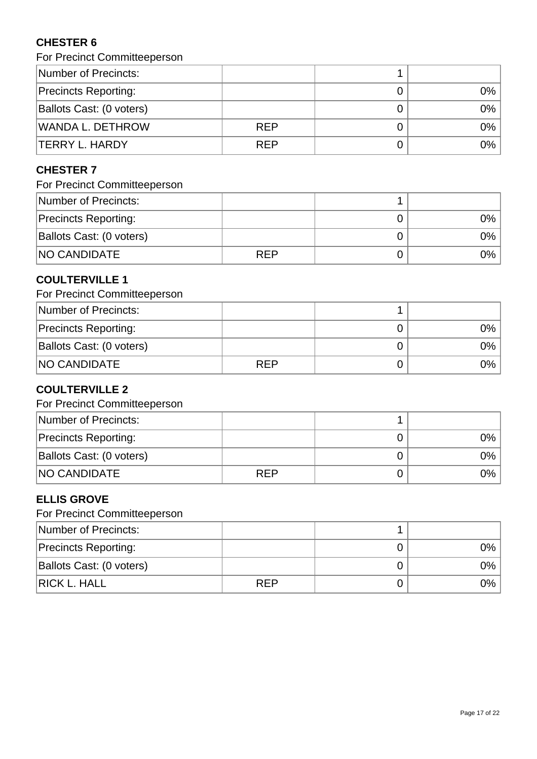# **CHESTER 6**

For Precinct Committeeperson

| Number of Precincts:        |            |      |
|-----------------------------|------------|------|
| <b>Precincts Reporting:</b> |            | 0%   |
| Ballots Cast: (0 voters)    |            | 0%   |
| <b>WANDA L. DETHROW</b>     | <b>REP</b> | 0%   |
| <b>TERRY L. HARDY</b>       | <b>REP</b> | 0% l |

# **CHESTER 7**

# For Precinct Committeeperson

| Number of Precincts:        |            |      |
|-----------------------------|------------|------|
| <b>Precincts Reporting:</b> |            | 0% l |
| Ballots Cast: (0 voters)    |            | 0% l |
| <b>NO CANDIDATE</b>         | <b>REP</b> | 0% l |

### **COULTERVILLE 1**

### For Precinct Committeeperson

| Number of Precincts:        |            |    |
|-----------------------------|------------|----|
| <b>Precincts Reporting:</b> |            | ገ% |
| Ballots Cast: (0 voters)    |            | ን% |
| <b>NO CANDIDATE</b>         | <b>RFP</b> | ን% |

# **COULTERVILLE 2**

### For Precinct Committeeperson

| Number of Precincts:        |            |      |
|-----------------------------|------------|------|
| <b>Precincts Reporting:</b> |            | 0%   |
| Ballots Cast: (0 voters)    |            | 0% l |
| <b>NO CANDIDATE</b>         | <b>REP</b> | 0%   |

# **ELLIS GROVE**

| Number of Precincts:        |            |              |
|-----------------------------|------------|--------------|
| <b>Precincts Reporting:</b> |            | 9%           |
| Ballots Cast: (0 voters)    |            | $\gamma\%$ . |
| <b>RICK L. HALL</b>         | <b>REP</b> | $9\%$        |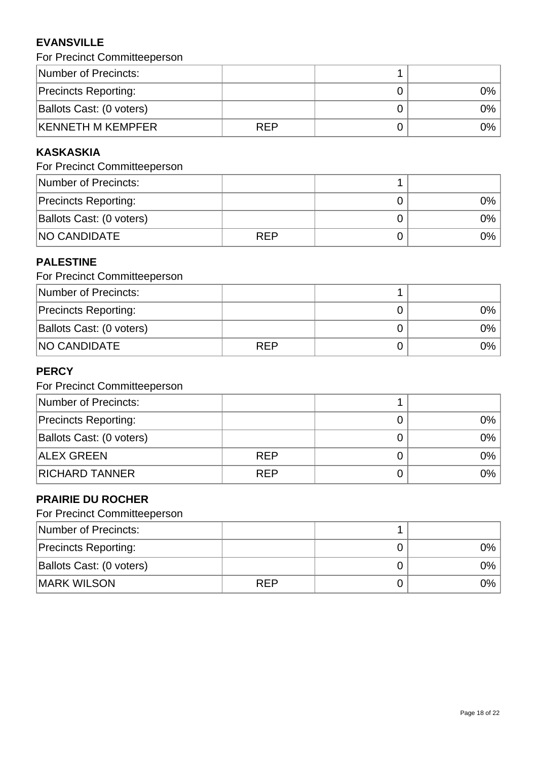# **EVANSVILLE**

| For Precinct Committeeperson |  |  |  |  |
|------------------------------|--|--|--|--|
|------------------------------|--|--|--|--|

| Number of Precincts:        |            |       |
|-----------------------------|------------|-------|
| <b>Precincts Reporting:</b> |            | $2\%$ |
| Ballots Cast: (0 voters)    |            | $9\%$ |
| <b>KENNETH M KEMPFER</b>    | <b>RFP</b> | 9%    |

# **KASKASKIA**

# For Precinct Committeeperson

| Number of Precincts:        |            |      |
|-----------------------------|------------|------|
| <b>Precincts Reporting:</b> |            | 0%   |
| Ballots Cast: (0 voters)    |            | 0% l |
| <b>NO CANDIDATE</b>         | <b>REP</b> | 0% l |

### **PALESTINE**

| For Precinct Committeeperson |            |      |
|------------------------------|------------|------|
| Number of Precincts:         |            |      |
| <b>Precincts Reporting:</b>  |            | 0% l |
| Ballots Cast: (0 voters)     |            | 0% l |
| <b>NO CANDIDATE</b>          | <b>REP</b> | 0% l |

# **PERCY**

# For Precinct Committeeperson

| Number of Precincts:        |            |       |
|-----------------------------|------------|-------|
| <b>Precincts Reporting:</b> |            | $0\%$ |
| Ballots Cast: (0 voters)    |            | $0\%$ |
| <b>ALEX GREEN</b>           | <b>REP</b> | $0\%$ |
| <b>RICHARD TANNER</b>       | <b>REP</b> | $0\%$ |

# **PRAIRIE DU ROCHER**

| Number of Precincts:        |     |      |
|-----------------------------|-----|------|
| <b>Precincts Reporting:</b> |     | 0% l |
| Ballots Cast: (0 voters)    |     | 0% l |
| <b>IMARK WILSON</b>         | RFP | 0% l |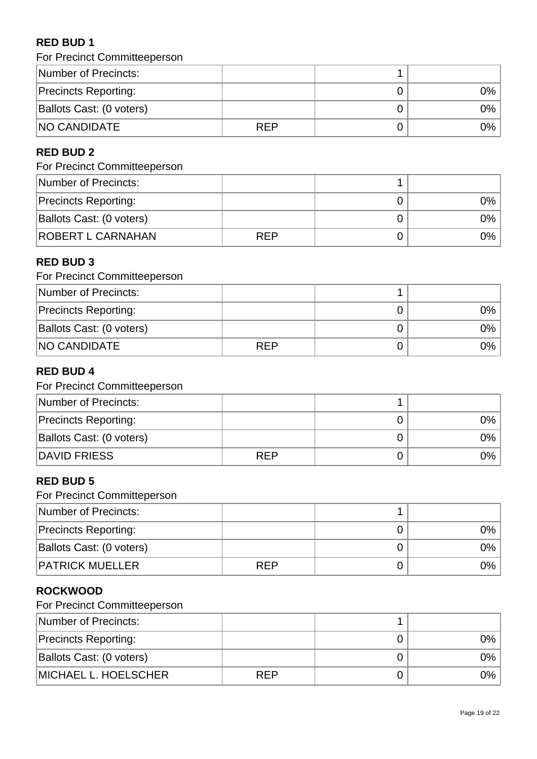# **RED BUD 1**

For Precinct Committeeperson

| Number of Precincts:        |            |      |
|-----------------------------|------------|------|
| <b>Precincts Reporting:</b> |            | 0% l |
| Ballots Cast: (0 voters)    |            | 0% l |
| <b>NO CANDIDATE</b>         | <b>RFP</b> | 0%   |

### **RED BUD 2**

### For Precinct Committeeperson

| Number of Precincts:        |            |      |
|-----------------------------|------------|------|
| <b>Precincts Reporting:</b> |            | 0% l |
| Ballots Cast: (0 voters)    |            | 0% l |
| <b>ROBERT L CARNAHAN</b>    | <b>REP</b> | 0% l |

# **RED BUD 3**

| For Precinct Committeeperson |            |  |      |
|------------------------------|------------|--|------|
| Number of Precincts:         |            |  |      |
| <b>Precincts Reporting:</b>  |            |  | 0% l |
| Ballots Cast: (0 voters)     |            |  | 0% l |
| <b>NO CANDIDATE</b>          | <b>REP</b> |  | 0% l |

# **RED BUD 4**

# For Precinct Committeeperson

| Number of Precincts:        |            |       |
|-----------------------------|------------|-------|
| <b>Precincts Reporting:</b> |            | 9%    |
| Ballots Cast: (0 voters)    |            | 9%    |
| DAVID FRIESS                | <b>RFP</b> | $0\%$ |

### **RED BUD 5**

For Precinct Committeperson

| Number of Precincts:        |            |       |
|-----------------------------|------------|-------|
| <b>Precincts Reporting:</b> |            | $0\%$ |
| Ballots Cast: (0 voters)    |            | 0%    |
| <b>PATRICK MUELLER</b>      | <b>RFP</b> | 9%    |

### **ROCKWOOD**

| Number of Precincts:        |            |      |
|-----------------------------|------------|------|
| <b>Precincts Reporting:</b> |            | 0% l |
| Ballots Cast: (0 voters)    |            | 0% l |
| MICHAEL L. HOELSCHER        | <b>RFP</b> | 0% l |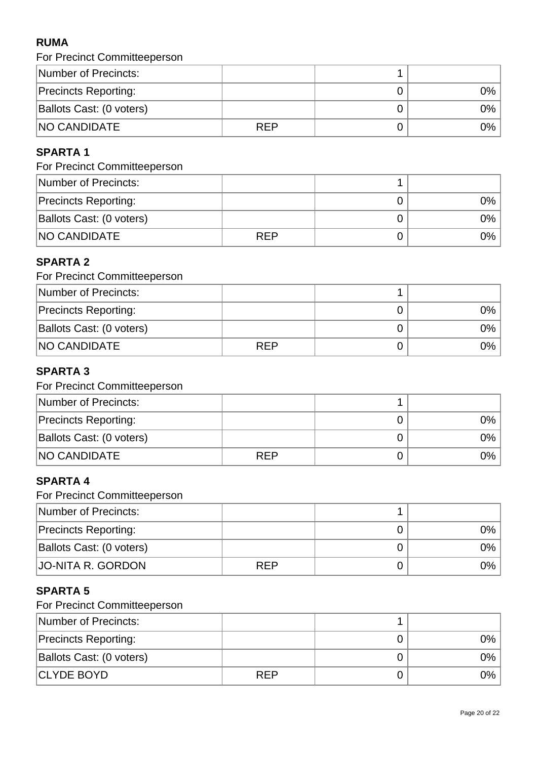# **RUMA**

| For Precinct Committeeperson |            |    |
|------------------------------|------------|----|
| Number of Precincts:         |            |    |
| <b>Precincts Reporting:</b>  |            | 0% |
| Ballots Cast: (0 voters)     |            | 0% |
| <b>NO CANDIDATE</b>          | <b>RFP</b> | 0% |

# **SPARTA 1**

# For Precinct Committeeperson

| Number of Precincts:        |            |      |
|-----------------------------|------------|------|
| <b>Precincts Reporting:</b> |            | 0%   |
| Ballots Cast: (0 voters)    |            | 0% l |
| <b>NO CANDIDATE</b>         | <b>REP</b> | 0% l |

# **SPARTA 2**

| For Precinct Committeeperson |            |  |       |
|------------------------------|------------|--|-------|
| Number of Precincts:         |            |  |       |
| <b>Precincts Reporting:</b>  |            |  | $0\%$ |
| Ballots Cast: (0 voters)     |            |  | $0\%$ |
| <b>NO CANDIDATE</b>          | <b>REP</b> |  | 0%    |

### **SPARTA 3**

# For Precinct Committeeperson

| Number of Precincts:        |            |       |
|-----------------------------|------------|-------|
| <b>Precincts Reporting:</b> |            | 9%    |
| Ballots Cast: (0 voters)    |            | 9%    |
| <b>NO CANDIDATE</b>         | <b>RFP</b> | $0\%$ |

### **SPARTA 4**

For Precinct Committeeperson

| Number of Precincts:        |            |      |
|-----------------------------|------------|------|
| <b>Precincts Reporting:</b> |            | 0% l |
| Ballots Cast: (0 voters)    |            | 0% l |
| JO-NITA R. GORDON           | <b>RFP</b> | 0% l |

# **SPARTA 5**

| Number of Precincts:        |            |      |
|-----------------------------|------------|------|
| <b>Precincts Reporting:</b> |            | 0% l |
| Ballots Cast: (0 voters)    |            | 0%   |
| CLYDE BOYD                  | <b>RFP</b> | 0%   |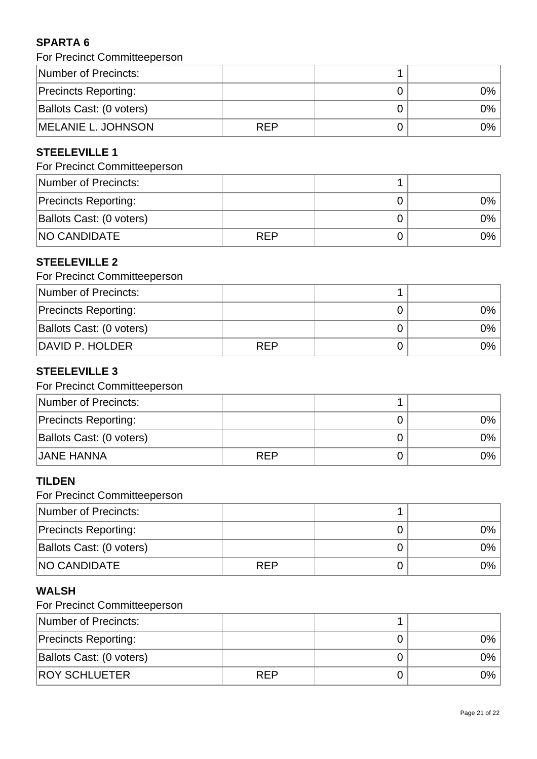# **SPARTA 6**

|  | For Precinct Committeeperson |
|--|------------------------------|
|--|------------------------------|

| Number of Precincts:        |            |    |
|-----------------------------|------------|----|
| <b>Precincts Reporting:</b> |            | 9% |
| Ballots Cast: (0 voters)    |            | 9% |
| MELANIE L. JOHNSON          | <b>RFP</b> | 9% |

# **STEELEVILLE 1**

# For Precinct Committeeperson

| Number of Precincts:        |     |      |
|-----------------------------|-----|------|
| <b>Precincts Reporting:</b> |     | 0% l |
| Ballots Cast: (0 voters)    |     | 0% l |
| <b>NO CANDIDATE</b>         | REP | 0% l |

### **STEELEVILLE 2**

# For Precinct Committeeperson

| Number of Precincts:        |            |    |
|-----------------------------|------------|----|
| <b>Precincts Reporting:</b> |            | 9% |
| Ballots Cast: (0 voters)    |            | 9% |
| DAVID P. HOLDER             | <b>RFP</b> | 9% |

# **STEELEVILLE 3**

### For Precinct Committeeperson

| Number of Precincts:        |            |      |
|-----------------------------|------------|------|
| <b>Precincts Reporting:</b> |            | 0% l |
| Ballots Cast: (0 voters)    |            | 0% l |
| <b>JANE HANNA</b>           | <b>RFP</b> | 0%   |

### **TILDEN**

For Precinct Committeeperson

| Number of Precincts:        |            |      |
|-----------------------------|------------|------|
| <b>Precincts Reporting:</b> |            | 0%   |
| Ballots Cast: (0 voters)    |            | 0% l |
| <b>NO CANDIDATE</b>         | <b>RFP</b> | 0%   |

# **WALSH**

| Number of Precincts:        |            |        |
|-----------------------------|------------|--------|
| <b>Precincts Reporting:</b> |            | 0%     |
| Ballots Cast: (0 voters)    |            | 0%     |
| <b>ROY SCHLUETER</b>        | <b>RFP</b> | $9%$ i |